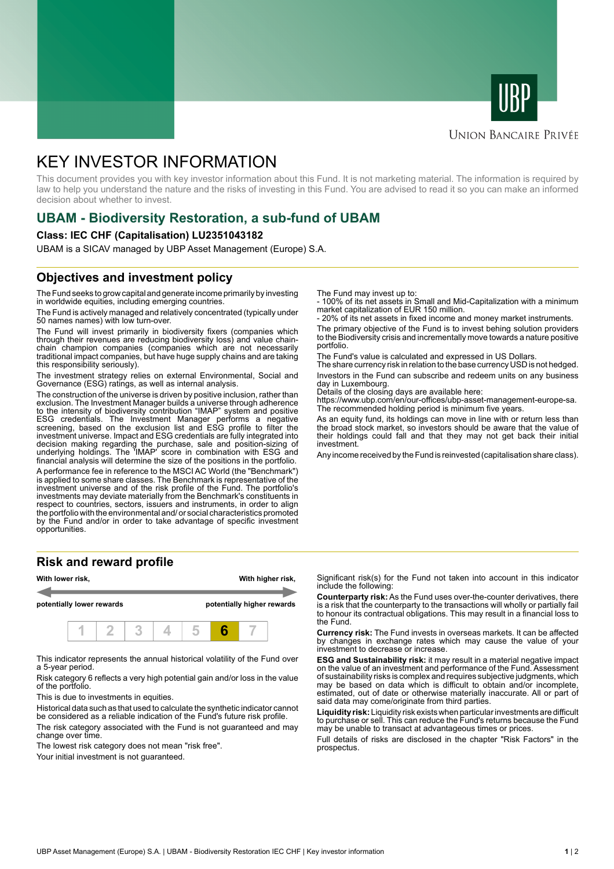



#### **UNION BANCAIRE PRIVÉE**

# KEY INVESTOR INFORMATION

This document provides you with key investor information about this Fund. It is not marketing material. The information is required by law to help you understand the nature and the risks of investing in this Fund. You are advised to read it so you can make an informed decision about whether to invest.

### **UBAM - Biodiversity Restoration, a sub-fund of UBAM**

#### **Class: IEC CHF (Capitalisation) LU2351043182**

UBAM is a SICAV managed by UBP Asset Management (Europe) S.A.

### **Objectives and investment policy**

The Fund seeks to grow capital and generate income primarily by investing in worldwide equities, including emerging countries.

The Fund is actively managed and relatively concentrated (typically under 50 names names) with low turn-over.

The Fund will invest primarily in biodiversity fixers (companies which through their revenues are reducing biodiversity loss) and value chainchain champion companies (companies which are not necessarily traditional impact companies, but have huge supply chains and are taking this responsibility seriously).

The investment strategy relies on external Environmental, Social and Governance (ESG) ratings, as well as internal analysis.

The construction of the universe is driven by positive inclusion, rather than exclusion. The Investment Manager builds a universe through adherence to the intensity of biodiversity contribution "IMAP" system and positive ESG credentials. The Investment Manager performs a negative screening, based on the exclusion list and ESG profile to filter the investment universe. Impact and ESG credentials are fully integrated into decision making regarding the purchase, sale and position-sizing of underlying holdings. The 'IMAP' score in combination with ESG and financial analysis will determine the size of the positions in the portfolio.

A performance fee in reference to the MSCI AC World (the "Benchmark") is applied to some share classes. The Benchmark is representative of the investment universe and of the risk profile of the Fund. The portfolio's investments may deviate materially from the Benchmark's constituents in respect to countries, sectors, issuers and instruments, in order to align the portfolio with the environmental and/ or social characteristics promoted by the Fund and/or in order to take advantage of specific investment opportunities.

#### **Risk and reward profile**



This indicator represents the annual historical volatility of the Fund over a 5-year period.

Risk category 6 reflects a very high potential gain and/or loss in the value of the portfolio.

This is due to investments in equities.

Historical data such as that used to calculate the synthetic indicator cannot be considered as a reliable indication of the Fund's future risk profile.

The risk category associated with the Fund is not guaranteed and may change over time.

The lowest risk category does not mean "risk free".

Your initial investment is not guaranteed.

The Fund may invest up to:

- 100% of its net assets in Small and Mid-Capitalization with a minimum market capitalization of EUR 150 million.

20% of its net assets in fixed income and money market instruments.

The primary objective of the Fund is to invest behing solution providers to the Biodiversity crisis and incrementally move towards a nature positive portfolio.

The Fund's value is calculated and expressed in US Dollars.

The share currency risk in relation to the base currency USD is not hedged. Investors in the Fund can subscribe and redeem units on any business day in Luxembourg.

Details of the closing days are available here:

https://www.ubp.com/en/our-offices/ubp-asset-management-europe-sa. The recommended holding period is minimum five years.

As an equity fund, its holdings can move in line with or return less than the broad stock market, so investors should be aware that the value of their holdings could fall and that they may not get back their initial investment.

Any income received by the Fund is reinvested (capitalisation share class).

Significant risk(s) for the Fund not taken into account in this indicator include the following:

**Counterparty risk:** As the Fund uses over-the-counter derivatives, there is a risk that the counterparty to the transactions will wholly or partially fail to honour its contractual obligations. This may result in a financial loss to the Fund.

**Currency risk:** The Fund invests in overseas markets. It can be affected by changes in exchange rates which may cause the value of your investment to decrease or increase.

**ESG and Sustainability risk:** it may result in a material negative impact on the value of an investment and performance of the Fund. Assessment of sustainability risks is complex and requires subjective judgments, which may be based on data which is difficult to obtain and/or incomplete, estimated, out of date or otherwise materially inaccurate. All or part of said data may come/originate from third parties.

**Liquidity risk:** Liquidity risk exists when particular investments are difficult to purchase or sell. This can reduce the Fund's returns because the Fund may be unable to transact at advantageous times or prices.

Full details of risks are disclosed in the chapter "Risk Factors" in the prospectus.